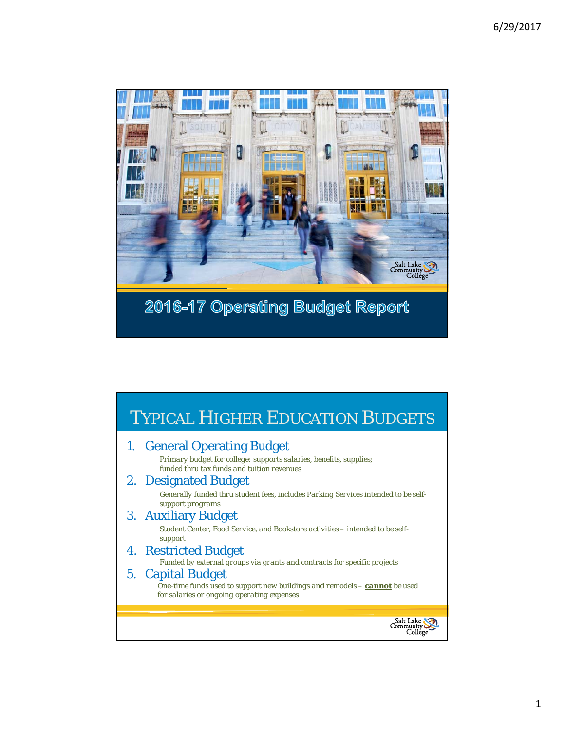

| <b>TYPICAL HIGHER EDUCATION BUDGETS</b>                                                                                                         |
|-------------------------------------------------------------------------------------------------------------------------------------------------|
| 1. General Operating Budget<br>Primary budget for college: supports salaries, benefits, supplies;<br>funded thru tax funds and tuition revenues |
| 2. Designated Budget<br>Generally funded thru student fees, includes Parking Services intended to be self-<br>support programs                  |
| 3. Auxiliary Budget<br>Student Center, Food Service, and Bookstore activities – intended to be self-<br>support                                 |
| 4. Restricted Budget<br>Funded by external groups via grants and contracts for specific projects                                                |
| 5. Capital Budget<br>One-time funds used to support new buildings and remodels - cannot be used<br>for salaries or ongoing operating expenses   |
|                                                                                                                                                 |
|                                                                                                                                                 |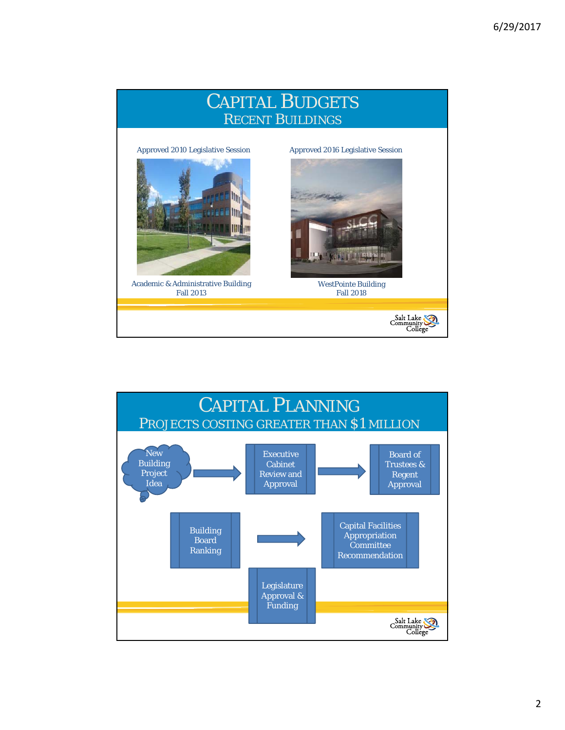

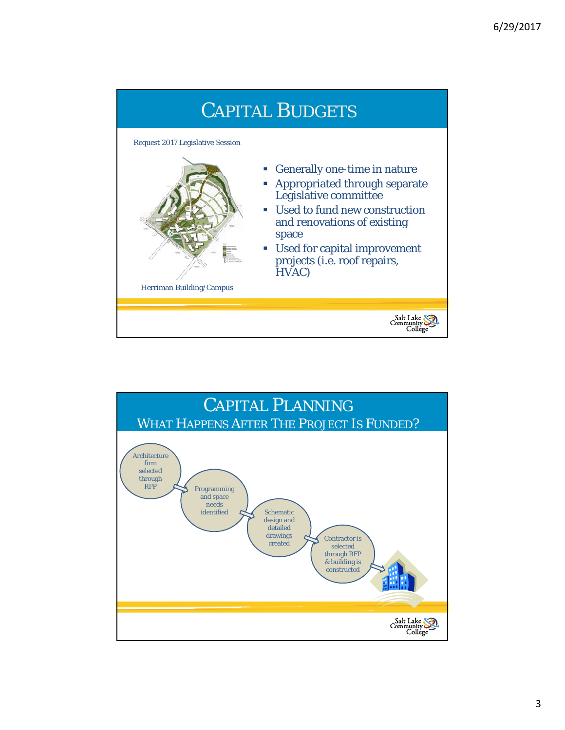

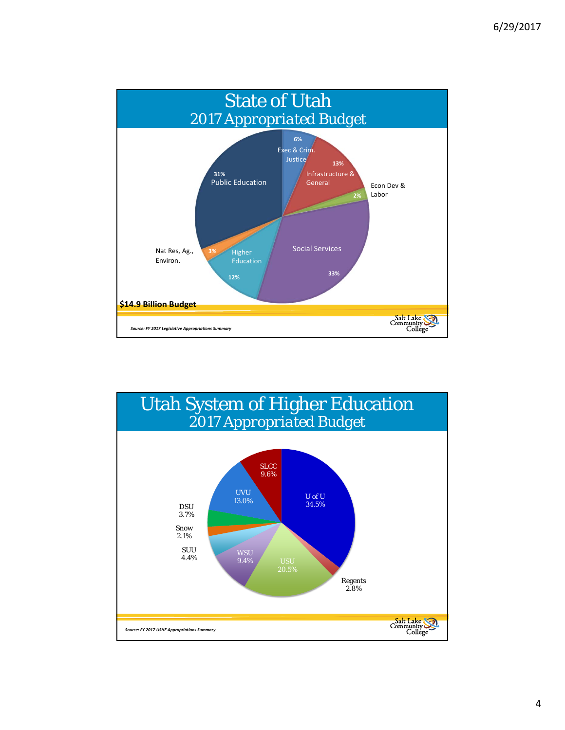

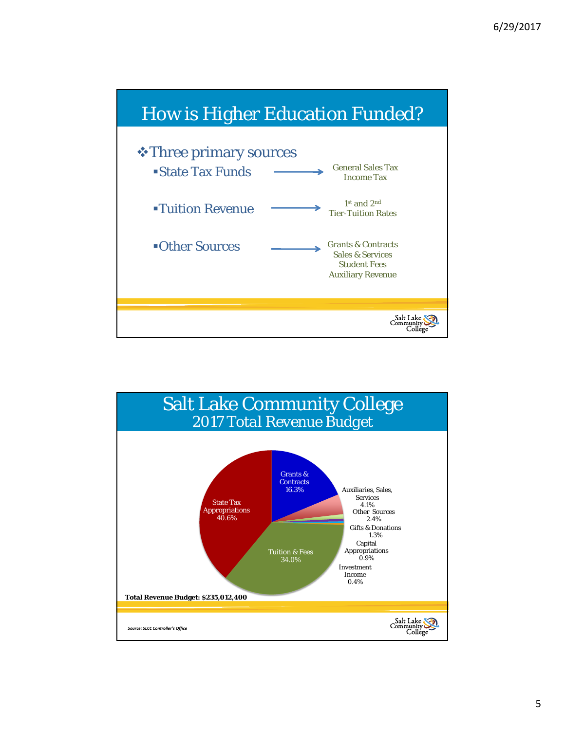

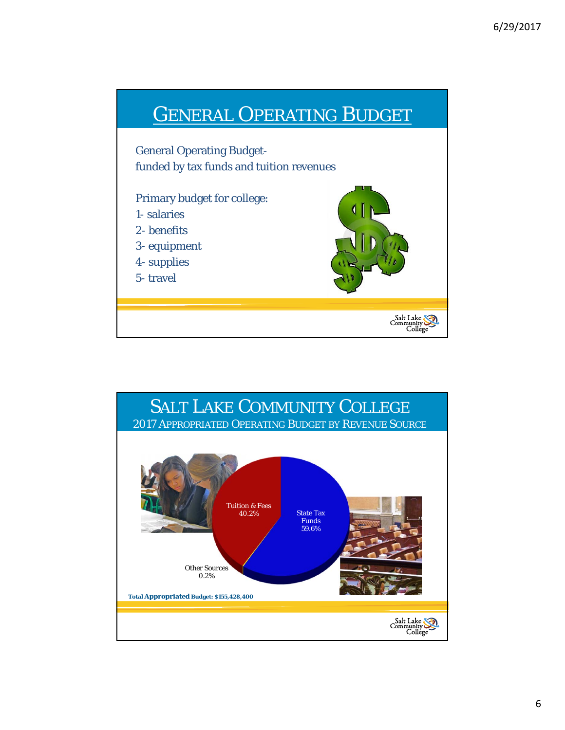

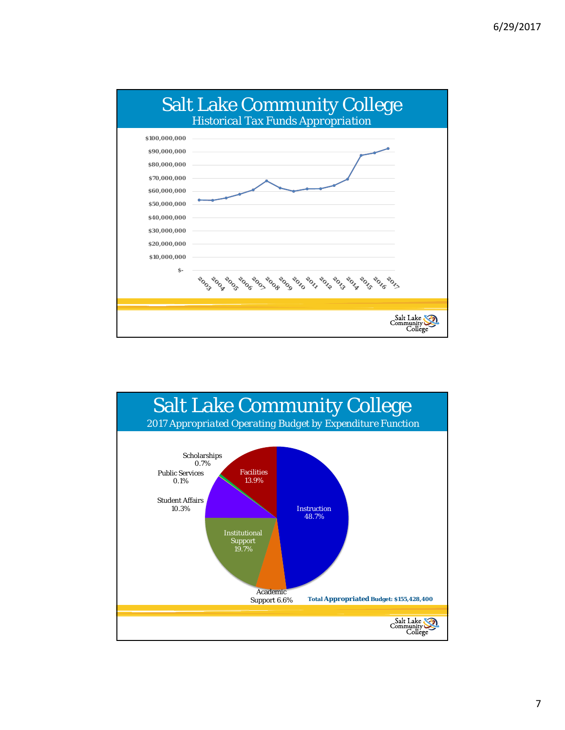

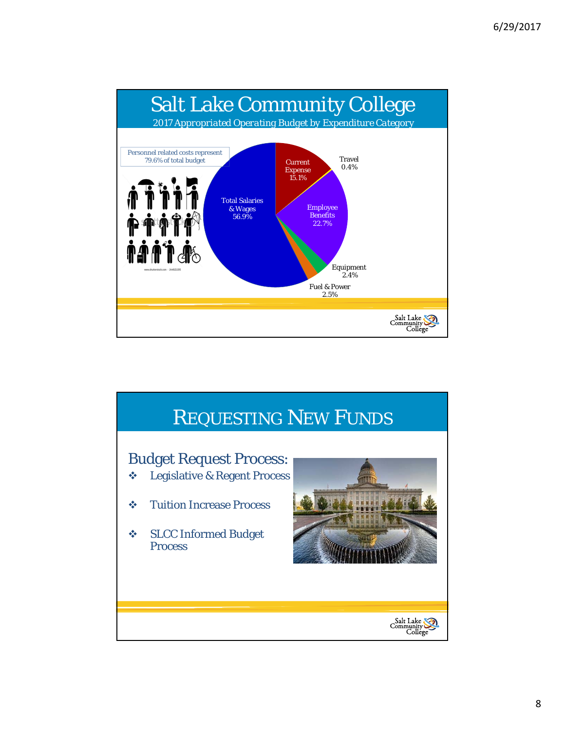

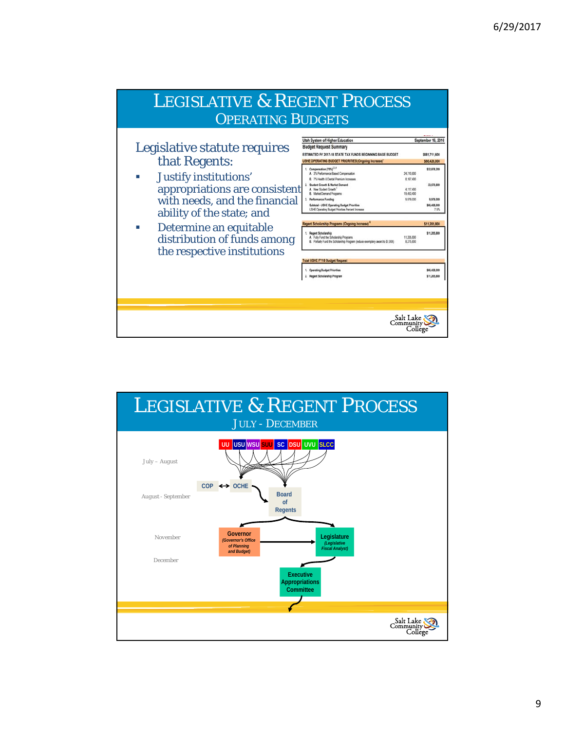

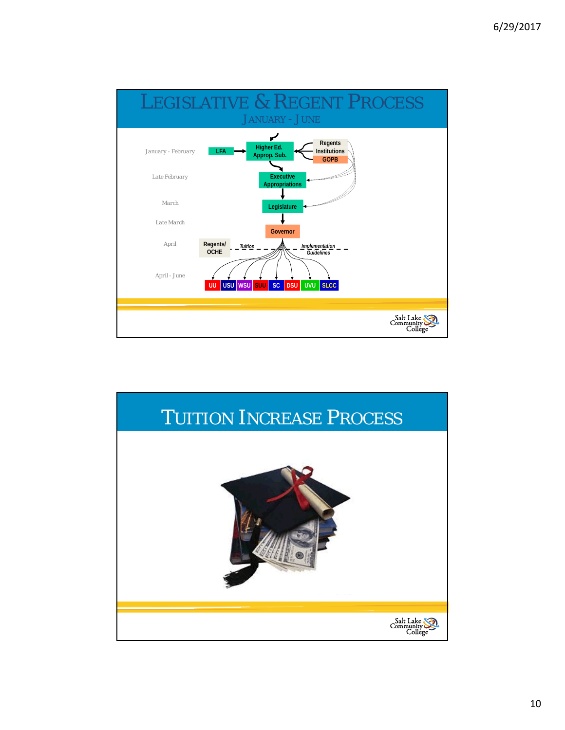

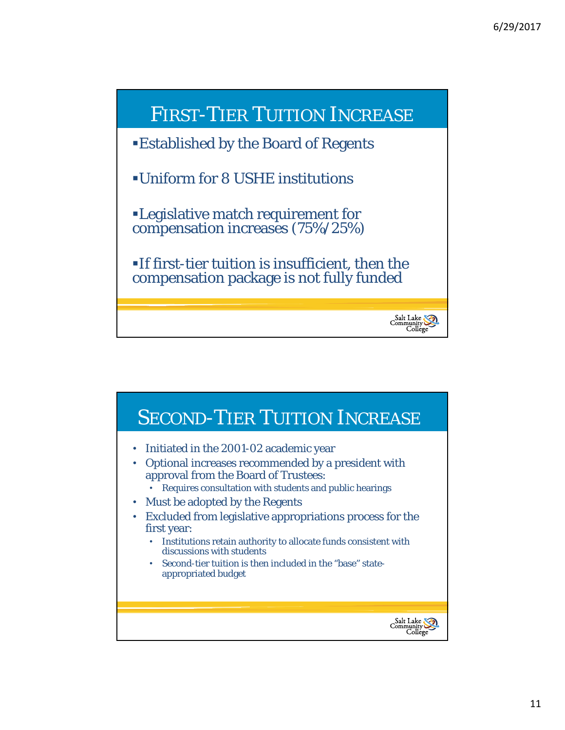

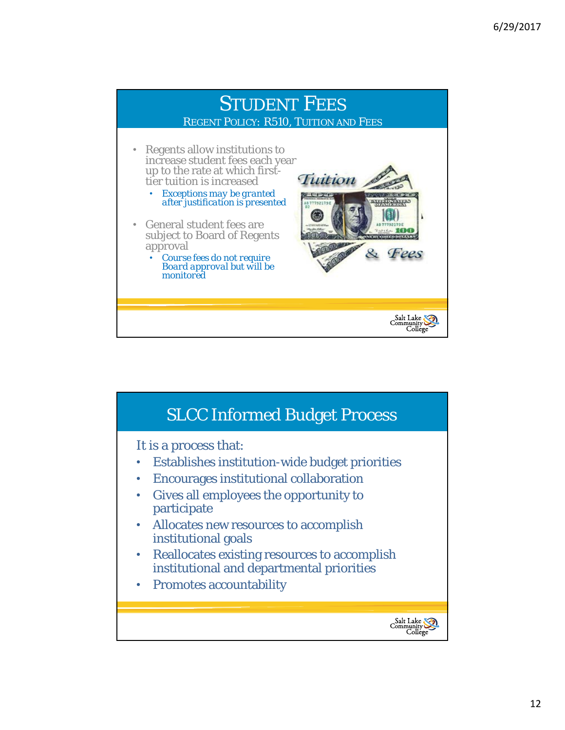

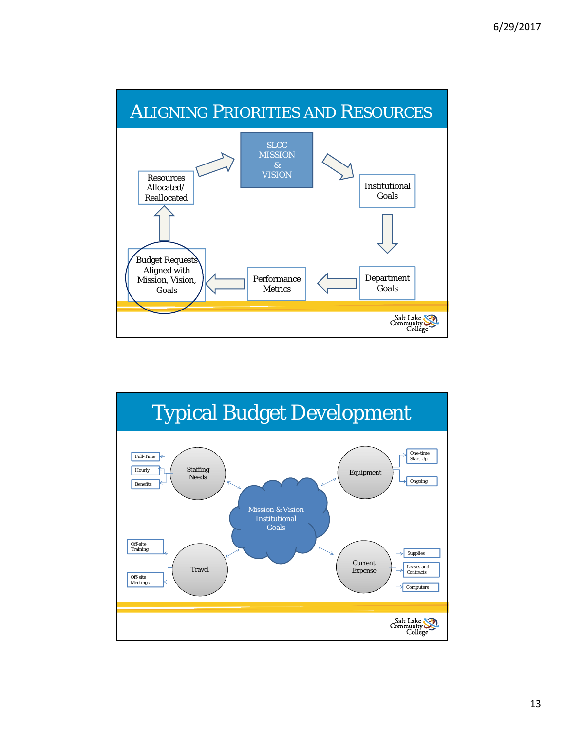

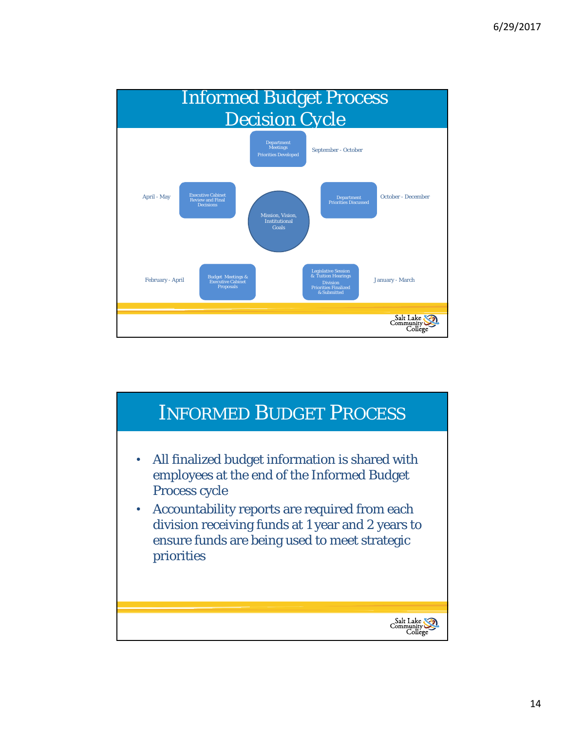